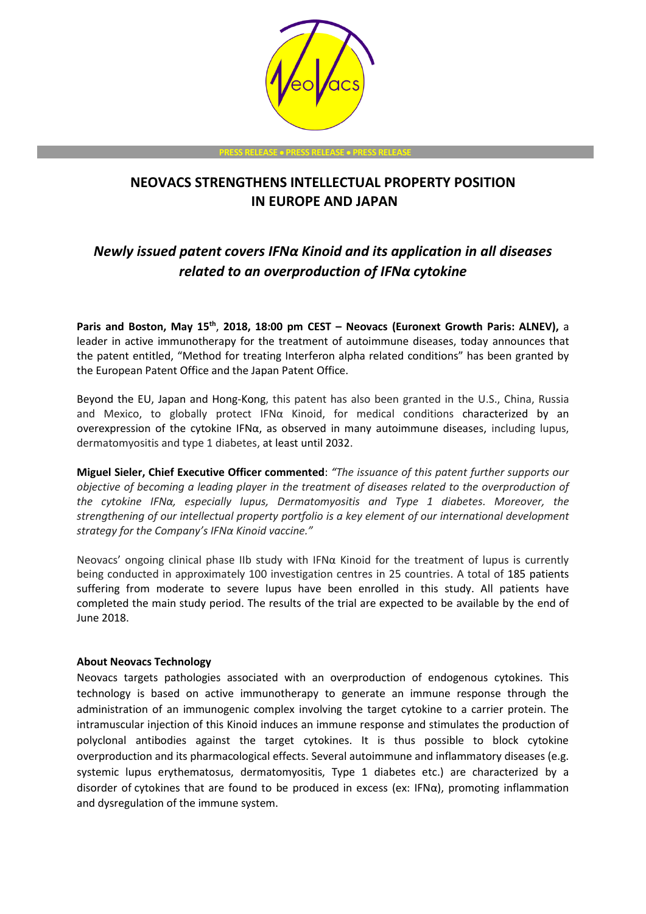

**PRESS RELEASE** • **PRESS RELEASE** • **PRESS RELEASE**

## **NEOVACS STRENGTHENS INTELLECTUAL PROPERTY POSITION IN EUROPE AND JAPAN**

# *Newly issued patent covers IFNα Kinoid and its application in all diseases related to an overproduction of IFNα cytokine*

**Paris and Boston, May 15th** , **2018, 18:00 pm CEST – Neovacs (Euronext Growth Paris: ALNEV),** a leader in active immunotherapy for the treatment of autoimmune diseases, today announces that the patent entitled, "Method for treating Interferon alpha related conditions" has been granted by the European Patent Office and the Japan Patent Office.

Beyond the EU, Japan and Hong-Kong, this patent has also been granted in the U.S., China, Russia and Mexico, to globally protect IFN $\alpha$  Kinoid, for medical conditions characterized by an overexpression of the cytokine IFNα, as observed in many autoimmune diseases, including lupus, dermatomyositis and type 1 diabetes, at least until 2032.

**Miguel Sieler, Chief Executive Officer commented**: *"The issuance of this patent further supports our objective of becoming a leading player in the treatment of diseases related to the overproduction of the cytokine IFNα, especially lupus, Dermatomyositis and Type 1 diabetes. Moreover, the strengthening of our intellectual property portfolio is a key element of our international development strategy for the Company's IFNα Kinoid vaccine."*

Neovacs' ongoing clinical phase IIb study with IFNα Kinoid for the treatment of lupus is currently being conducted in approximately 100 investigation centres in 25 countries. A total of 185 patients suffering from moderate to severe lupus have been enrolled in this study. All patients have completed the main study period. The results of the trial are expected to be available by the end of June 2018.

## **About Neovacs Technology**

Neovacs targets pathologies associated with an overproduction of endogenous cytokines. This technology is based on active immunotherapy to generate an immune response through the administration of an immunogenic complex involving the target cytokine to a carrier protein. The intramuscular injection of this Kinoid induces an immune response and stimulates the production of polyclonal antibodies against the target cytokines. It is thus possible to block cytokine overproduction and its pharmacological effects. Several autoimmune and inflammatory diseases (e.g. systemic lupus erythematosus, dermatomyositis, Type 1 diabetes etc.) are characterized by a disorder of cytokines that are found to be produced in excess (ex: IFNα), promoting inflammation and dysregulation of the immune system.